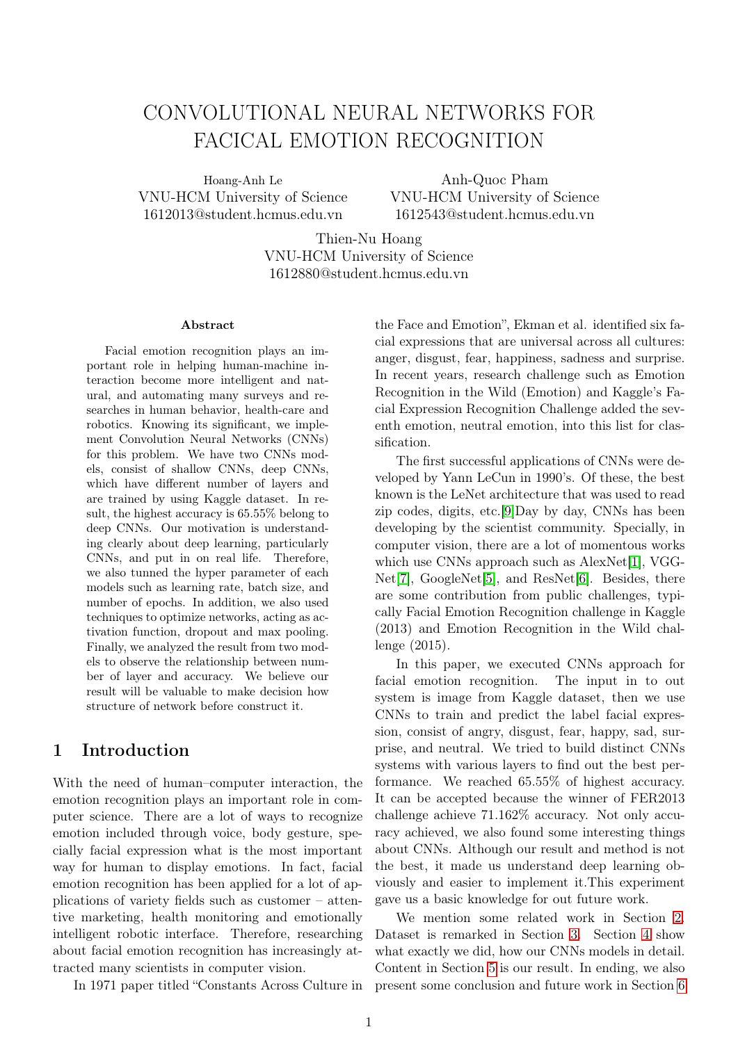# CONVOLUTIONAL NEURAL NETWORKS FOR FACICAL EMOTION RECOGNITION

Hoang-Anh Le VNU-HCM University of Science 1612013@student.hcmus.edu.vn

Anh-Quoc Pham VNU-HCM University of Science 1612543@student.hcmus.edu.vn

Thien-Nu Hoang VNU-HCM University of Science 1612880@student.hcmus.edu.vn

#### Abstract

Facial emotion recognition plays an important role in helping human-machine interaction become more intelligent and natural, and automating many surveys and researches in human behavior, health-care and robotics. Knowing its significant, we implement Convolution Neural Networks (CNNs) for this problem. We have two CNNs models, consist of shallow CNNs, deep CNNs, which have different number of layers and are trained by using Kaggle dataset. In result, the highest accuracy is 65.55% belong to deep CNNs. Our motivation is understanding clearly about deep learning, particularly CNNs, and put in on real life. Therefore, we also tunned the hyper parameter of each models such as learning rate, batch size, and number of epochs. In addition, we also used techniques to optimize networks, acting as activation function, dropout and max pooling. Finally, we analyzed the result from two models to observe the relationship between number of layer and accuracy. We believe our result will be valuable to make decision how structure of network before construct it.

### 1 Introduction

With the need of human–computer interaction, the emotion recognition plays an important role in computer science. There are a lot of ways to recognize emotion included through voice, body gesture, specially facial expression what is the most important way for human to display emotions. In fact, facial emotion recognition has been applied for a lot of applications of variety fields such as customer – attentive marketing, health monitoring and emotionally intelligent robotic interface. Therefore, researching about facial emotion recognition has increasingly attracted many scientists in computer vision.

In 1971 paper titled "Constants Across Culture in

the Face and Emotion", Ekman et al. identified six facial expressions that are universal across all cultures: anger, disgust, fear, happiness, sadness and surprise. In recent years, research challenge such as Emotion Recognition in the Wild (Emotion) and Kaggle's Facial Expression Recognition Challenge added the seventh emotion, neutral emotion, into this list for classification.

The first successful applications of CNNs were developed by Yann LeCun in 1990's. Of these, the best known is the LeNet architecture that was used to read zip codes, digits, etc.[\[9\]](#page-3-0)Day by day, CNNs has been developing by the scientist community. Specially, in computer vision, there are a lot of momentous works which use CNNs approach such as AlexNet[\[1\]](#page-3-1), VGG-Net[\[7\]](#page-3-2), GoogleNet[\[5\]](#page-3-3), and ResNet[\[6\]](#page-3-4). Besides, there are some contribution from public challenges, typically Facial Emotion Recognition challenge in Kaggle (2013) and Emotion Recognition in the Wild challenge (2015).

In this paper, we executed CNNs approach for facial emotion recognition. The input in to out system is image from Kaggle dataset, then we use CNNs to train and predict the label facial expression, consist of angry, disgust, fear, happy, sad, surprise, and neutral. We tried to build distinct CNNs systems with various layers to find out the best performance. We reached 65.55% of highest accuracy. It can be accepted because the winner of FER2013 challenge achieve 71.162% accuracy. Not only accuracy achieved, we also found some interesting things about CNNs. Although our result and method is not the best, it made us understand deep learning obviously and easier to implement it.This experiment gave us a basic knowledge for out future work.

We mention some related work in Section [2.](#page-1-0) Dataset is remarked in Section [3.](#page-1-1) Section [4](#page-1-2) show what exactly we did, how our CNNs models in detail. Content in Section [5](#page-2-0) is our result. In ending, we also present some conclusion and future work in Section [6](#page-3-5)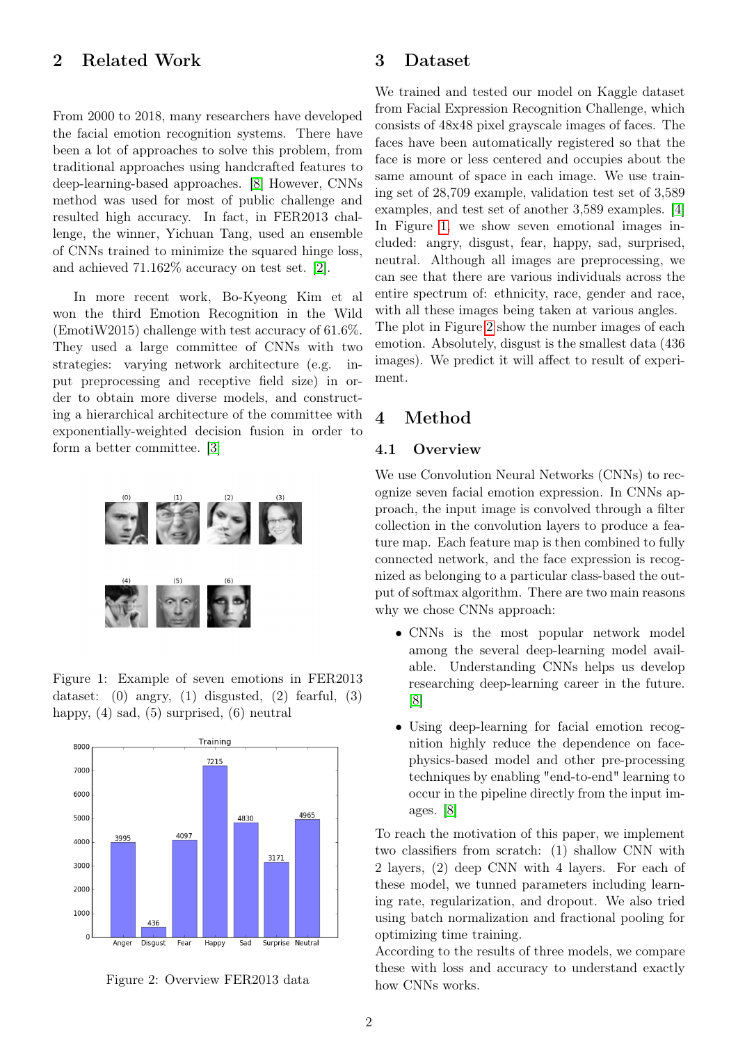### <span id="page-1-0"></span>2 Related Work

From 2000 to 2018, many researchers have developed the facial emotion recognition systems. There have been a lot of approaches to solve this problem, from traditional approaches using handcrafted features to deep-learning-based approaches. [\[8\]](#page-3-6) However, CNNs method was used for most of public challenge and resulted high accuracy. In fact, in FER2013 challenge, the winner, Yichuan Tang, used an ensemble of CNNs trained to minimize the squared hinge loss, and achieved 71.162% accuracy on test set. [\[2\]](#page-3-7).

In more recent work, Bo-Kyeong Kim et al won the third Emotion Recognition in the Wild (EmotiW2015) challenge with test accuracy of 61.6%. They used a large committee of CNNs with two strategies: varying network architecture (e.g. input preprocessing and receptive field size) in order to obtain more diverse models, and constructing a hierarchical architecture of the committee with exponentially-weighted decision fusion in order to form a better committee. [\[3\]](#page-3-8)



<span id="page-1-3"></span>Figure 1: Example of seven emotions in FER2013 dataset: (0) angry, (1) disgusted, (2) fearful, (3) happy,  $(4)$  sad,  $(5)$  surprised,  $(6)$  neutral



<span id="page-1-4"></span>Figure 2: Overview FER2013 data

### <span id="page-1-1"></span>3 Dataset

We trained and tested our model on Kaggle dataset from Facial Expression Recognition Challenge, which consists of 48x48 pixel grayscale images of faces. The faces have been automatically registered so that the face is more or less centered and occupies about the same amount of space in each image. We use training set of 28,709 example, validation test set of 3,589 examples, and test set of another 3,589 examples. [\[4\]](#page-3-9) In Figure [1,](#page-1-3) we show seven emotional images included: angry, disgust, fear, happy, sad, surprised, neutral. Although all images are preprocessing, we can see that there are various individuals across the entire spectrum of: ethnicity, race, gender and race, with all these images being taken at various angles. The plot in Figure [2](#page-1-4) show the number images of each emotion. Absolutely, disgust is the smallest data (436 images). We predict it will affect to result of experi-

## <span id="page-1-2"></span>4 Method

ment.

#### 4.1 Overview

We use Convolution Neural Networks (CNNs) to recognize seven facial emotion expression. In CNNs approach, the input image is convolved through a filter collection in the convolution layers to produce a feature map. Each feature map is then combined to fully connected network, and the face expression is recognized as belonging to a particular class-based the output of softmax algorithm. There are two main reasons why we chose CNNs approach:

- CNNs is the most popular network model among the several deep-learning model available. Understanding CNNs helps us develop researching deep-learning career in the future. [\[8\]](#page-3-6)
- Using deep-learning for facial emotion recognition highly reduce the dependence on facephysics-based model and other pre-processing techniques by enabling "end-to-end" learning to occur in the pipeline directly from the input images. [\[8\]](#page-3-6)

To reach the motivation of this paper, we implement two classifiers from scratch: (1) shallow CNN with 2 layers, (2) deep CNN with 4 layers. For each of these model, we tunned parameters including learning rate, regularization, and dropout. We also tried using batch normalization and fractional pooling for optimizing time training.

According to the results of three models, we compare these with loss and accuracy to understand exactly how CNNs works.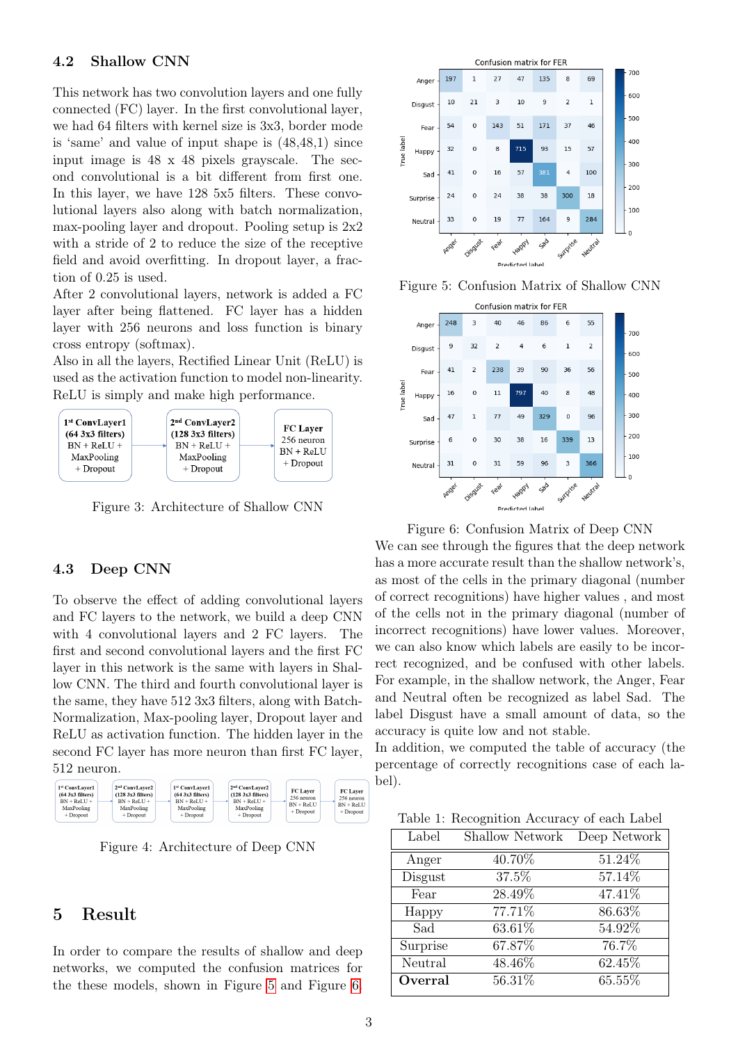#### 4.2 Shallow CNN

This network has two convolution layers and one fully connected (FC) layer. In the first convolutional layer, we had 64 filters with kernel size is 3x3, border mode is 'same' and value of input shape is (48,48,1) since input image is 48 x 48 pixels grayscale. The second convolutional is a bit different from first one. In this layer, we have 128 5x5 filters. These convolutional layers also along with batch normalization, max-pooling layer and dropout. Pooling setup is 2x2 with a stride of 2 to reduce the size of the receptive field and avoid overfitting. In dropout layer, a fraction of 0.25 is used.

After 2 convolutional layers, network is added a FC layer after being flattened. FC layer has a hidden layer with 256 neurons and loss function is binary cross entropy (softmax).

Also in all the layers, Rectified Linear Unit (ReLU) is used as the activation function to model non-linearity. ReLU is simply and make high performance.



Figure 3: Architecture of Shallow CNN

#### 4.3 Deep CNN

To observe the effect of adding convolutional layers and FC layers to the network, we build a deep CNN with 4 convolutional layers and 2 FC layers. The first and second convolutional layers and the first FC layer in this network is the same with layers in Shallow CNN. The third and fourth convolutional layer is the same, they have 512 3x3 filters, along with Batch-Normalization, Max-pooling layer, Dropout layer and ReLU as activation function. The hidden layer in the second FC layer has more neuron than first FC layer, 512 neuron.



Figure 4: Architecture of Deep CNN

### <span id="page-2-0"></span>5 Result

In order to compare the results of shallow and deep networks, we computed the confusion matrices for the these models, shown in Figure [5](#page-2-1) and Figure [6.](#page-2-2)



<span id="page-2-1"></span>Figure 5: Confusion Matrix of Shallow CNN



<span id="page-2-2"></span>Figure 6: Confusion Matrix of Deep CNN

We can see through the figures that the deep network has a more accurate result than the shallow network's, as most of the cells in the primary diagonal (number of correct recognitions) have higher values , and most of the cells not in the primary diagonal (number of incorrect recognitions) have lower values. Moreover, we can also know which labels are easily to be incorrect recognized, and be confused with other labels. For example, in the shallow network, the Anger, Fear and Neutral often be recognized as label Sad. The label Disgust have a small amount of data, so the accuracy is quite low and not stable.

In addition, we computed the table of accuracy (the percentage of correctly recognitions case of each label).

Table 1: Recognition Accuracy of each Label

| Label    | <b>Shallow Network</b> | Deep Network |
|----------|------------------------|--------------|
| Anger    | 40.70%                 | 51.24%       |
| Disgust  | 37.5%                  | 57.14%       |
| Fear     | 28.49%                 | 47.41%       |
| Happy    | 77.71%                 | 86.63%       |
| Sad      | 63.61%                 | 54.92%       |
| Surprise | 67.87%                 | 76.7%        |
| Neutral  | 48.46%                 | 62.45%       |
| Overral  | 56.31%                 | 65.55%       |